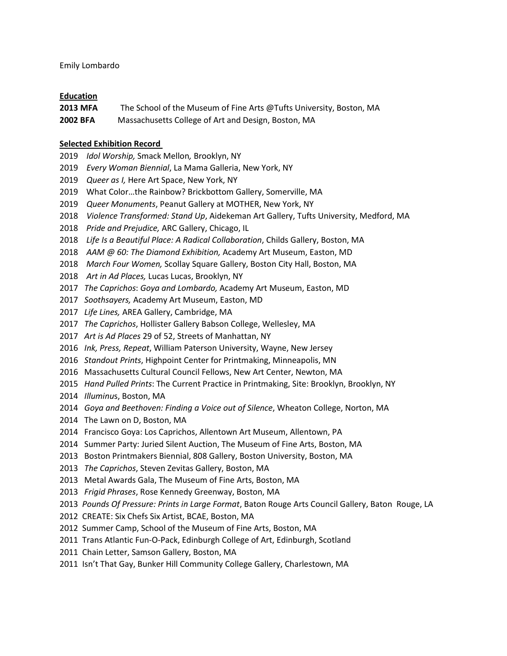Emily Lombardo

## **Education**

**2013 MFA** The School of the Museum of Fine Arts @Tufts University, Boston, MA

**2002 BFA** Massachusetts College of Art and Design, Boston, MA

# **Selected Exhibition Record**

- *Idol Worship,* Smack Mellon*,* Brooklyn, NY
- *Every Woman Biennial*, La Mama Galleria, New York, NY
- *Queer as I,* Here Art Space, New York, NY
- What Color…the Rainbow? Brickbottom Gallery, Somerville, MA
- *Queer Monuments*, Peanut Gallery at MOTHER, New York, NY
- *Violence Transformed: Stand Up*, Aidekeman Art Gallery, Tufts University, Medford, MA
- *Pride and Prejudice,* ARC Gallery, Chicago, IL
- *Life Is a Beautiful Place: A Radical Collaboration*, Childs Gallery, Boston, MA
- *AAM @ 60: The Diamond Exhibition,* Academy Art Museum, Easton, MD
- *March Four Women,* Scollay Square Gallery, Boston City Hall, Boston, MA
- *Art in Ad Places,* Lucas Lucas, Brooklyn, NY
- *The Caprichos*: *Goya and Lombardo,* Academy Art Museum, Easton, MD
- *Soothsayers,* Academy Art Museum, Easton, MD
- *Life Lines,* AREA Gallery, Cambridge, MA
- *The Caprichos*, Hollister Gallery Babson College, Wellesley, MA
- *Art is Ad Places* 29 of 52, Streets of Manhattan, NY
- *Ink, Press, Repeat*, William Paterson University, Wayne, New Jersey
- *Standout Prints*, Highpoint Center for Printmaking, Minneapolis, MN
- Massachusetts Cultural Council Fellows, New Art Center, Newton, MA
- *Hand Pulled Prints*: The Current Practice in Printmaking, Site: Brooklyn, Brooklyn, NY
- *Illuminu*s, Boston, MA
- *Goya and Beethoven: Finding a Voice out of Silence*, Wheaton College, Norton, MA
- The Lawn on D, Boston, MA
- Francisco Goya: Los Caprichos, Allentown Art Museum, Allentown, PA
- Summer Party: Juried Silent Auction, The Museum of Fine Arts, Boston, MA
- Boston Printmakers Biennial, 808 Gallery, Boston University, Boston, MA
- *The Caprichos*, Steven Zevitas Gallery, Boston, MA
- Metal Awards Gala, The Museum of Fine Arts, Boston, MA
- *Frigid Phrases*, Rose Kennedy Greenway, Boston, MA
- *Pounds Of Pressure: Prints in Large Format*, Baton Rouge Arts Council Gallery, Baton Rouge, LA
- CREATE: Six Chefs Six Artist, BCAE, Boston, MA
- Summer Camp, School of the Museum of Fine Arts, Boston, MA
- Trans Atlantic Fun-O-Pack, Edinburgh College of Art, Edinburgh, Scotland
- Chain Letter, Samson Gallery, Boston, MA
- Isn't That Gay, Bunker Hill Community College Gallery, Charlestown, MA